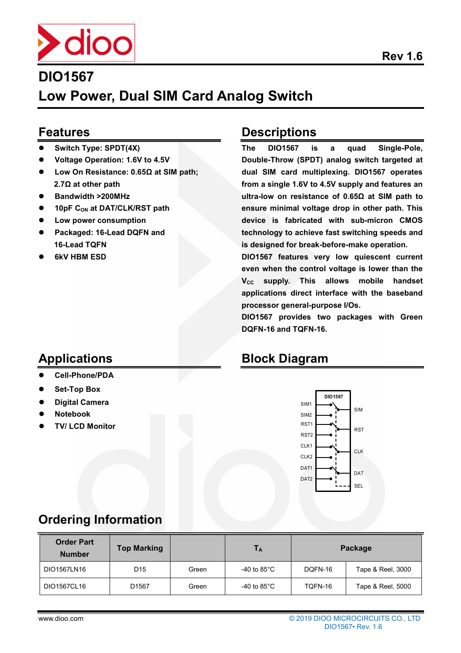

**Low Power, Dual SIM Card Analog Switch**

#### **Features**

- **Switch Type: SPDT(4X)**
- **Voltage Operation: 1.6V to 4.5V**
- **Low On Resistance: 0.65Ω at SIM path; 2.7Ω at other path**
- **Bandwidth >200MHz**
- **10pF CON at DAT/CLK/RST path**
- **Low power consumption**
- **Packaged: 16-Lead DQFN and 16-Lead TQFN**
- **6kV HBM ESD**

#### **Descriptions**

**The DIO1567 is a quad Single-Pole, Double-Throw (SPDT) analog switch targeted at dual SIM card multiplexing. DIO1567 operates from a single 1.6V to 4.5V supply and features an ultra-low on resistance of 0.65Ω at SIM path to ensure minimal voltage drop in other path. This device is fabricated with sub-micron CMOS technology to achieve fast switching speeds and is designed for break-before-make operation.** 

**DIO1567 features very low quiescent current even when the control voltage is lower than the VCC supply. This allows mobile handset applications direct interface with the baseband processor general-purpose I/Os.** 

**DIO1567 provides two packages with Green DQFN-16 and TQFN-16.** 

#### **Block Diagram**



#### **Set-Top Box**

**Cell-Phone/PDA** 

**Digital Camera** 

**Applications** 

- **Notebook**
- **TV/ LCD Monitor**

## **Ordering Information**

| <b>Order Part</b><br><b>Number</b> | <b>Top Marking</b> |       | Tд                     |         | Package           |
|------------------------------------|--------------------|-------|------------------------|---------|-------------------|
| DIO1567LN16                        | D <sub>15</sub>    | Green | -40 to 85 $^{\circ}$ C | DQFN-16 | Tape & Reel, 3000 |
| DIO1567CL16                        | D <sub>1567</sub>  | Green | -40 to 85 $^{\circ}$ C | TQFN-16 | Tape & Reel, 5000 |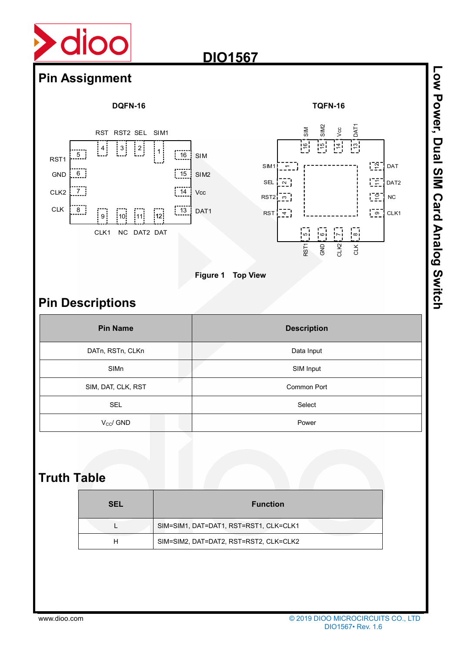

## **Pin Assignment**

RST1 GND

CLK2

CLK







**Figure 1 Top View** 

## **Pin Descriptions**

| <b>Pin Name</b>    | <b>Description</b> |  |  |
|--------------------|--------------------|--|--|
| DATn, RSTn, CLKn   | Data Input         |  |  |
| SIMn               | SIM Input          |  |  |
| SIM, DAT, CLK, RST | <b>Common Port</b> |  |  |
| <b>SEL</b>         | Select             |  |  |
| $V_{CC}$ / GND     | Power              |  |  |

### **Truth Table**

| <b>SEL</b> | <b>Function</b>                        |
|------------|----------------------------------------|
|            | SIM=SIM1, DAT=DAT1, RST=RST1, CLK=CLK1 |
|            | SIM=SIM2, DAT=DAT2, RST=RST2, CLK=CLK2 |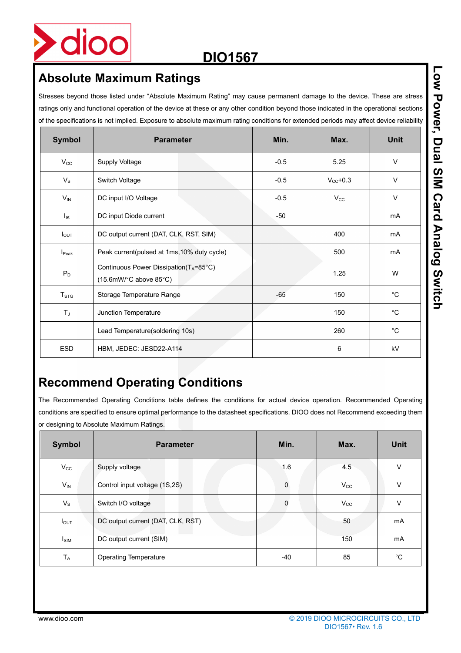

## **Absolute Maximum Ratings**

Stresses beyond those listed under "Absolute Maximum Rating" may cause permanent damage to the device. These are stress ratings only and functional operation of the device at these or any other condition beyond those indicated in the operational sections of the specifications is not implied. Exposure to absolute maximum rating conditions for extended periods may affect device reliability

| <b>Symbol</b>     | <b>Parameter</b>                                                   | Min.   | Max.                 | <b>Unit</b> |
|-------------------|--------------------------------------------------------------------|--------|----------------------|-------------|
| $V_{\rm CC}$      | <b>Supply Voltage</b>                                              | $-0.5$ | 5.25                 | $\vee$      |
| $V_{\rm S}$       | Switch Voltage                                                     | $-0.5$ | $V_{\text{CC}}$ +0.3 | $\vee$      |
| $V_{IN}$          | DC input I/O Voltage                                               | $-0.5$ | $V_{\rm CC}$         | V           |
| Ιĸ                | DC input Diode current                                             | -50    |                      | mA          |
| $I_{\text{OUT}}$  | DC output current (DAT, CLK, RST, SIM)                             |        | 400                  | mA          |
| I <sub>Peak</sub> | Peak current(pulsed at 1ms, 10% duty cycle)                        |        | 500                  | mA          |
| $P_D$             | Continuous Power Dissipation(TA=85°C)<br>$(15.6$ mW/°C above 85°C) |        | 1.25                 | W           |
| T <sub>STG</sub>  | Storage Temperature Range                                          | $-65$  | 150                  | $^{\circ}C$ |
| $T_J$             | Junction Temperature                                               |        | 150                  | $^{\circ}C$ |
|                   | Lead Temperature(soldering 10s)                                    |        | 260                  | $^{\circ}C$ |
| <b>ESD</b>        | HBM, JEDEC: JESD22-A114                                            |        | 6                    | kV          |

## **Recommend Operating Conditions**

The Recommended Operating Conditions table defines the conditions for actual device operation. Recommended Operating conditions are specified to ensure optimal performance to the datasheet specifications. DIOO does not Recommend exceeding them or designing to Absolute Maximum Ratings.

| <b>Symbol</b>    | <b>Parameter</b>                  | Min.  | Max.         | <b>Unit</b> |
|------------------|-----------------------------------|-------|--------------|-------------|
| $V_{\rm CC}$     | Supply voltage                    | 1.6   | 4.5          | V           |
| $V_{\text{IN}}$  | Control input voltage (1S,2S)     | 0     | $V_{\rm CC}$ | V           |
| $V_{\rm S}$      | Switch I/O voltage                | 0     | $V_{\rm CC}$ | $\vee$      |
| $I_{\text{OUT}}$ | DC output current (DAT, CLK, RST) |       | 50           | mA          |
| Isim             | DC output current (SIM)           |       | 150          | mA          |
| $T_A$            | <b>Operating Temperature</b>      | $-40$ | 85           | °C          |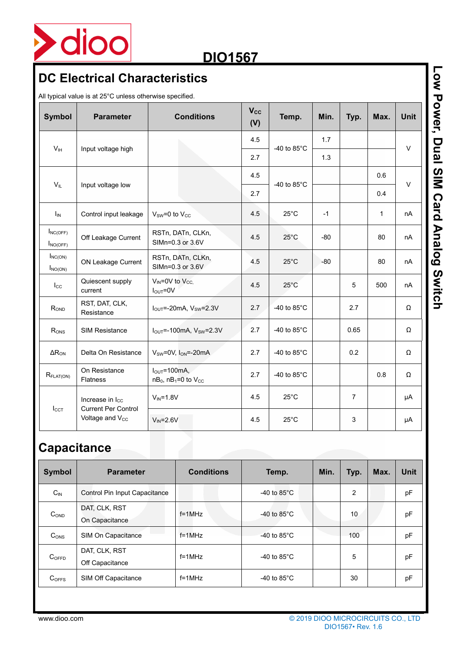

## **DC Electrical Characteristics**

All typical value is at 25°C unless otherwise specified.

| <b>Symbol</b>                  | <b>Parameter</b>                                          | <b>Conditions</b>                                                 | <b>Vcc</b><br>(V) | Temp.                 | Min.  | Typ.           | Max.         | <b>Unit</b> |
|--------------------------------|-----------------------------------------------------------|-------------------------------------------------------------------|-------------------|-----------------------|-------|----------------|--------------|-------------|
|                                |                                                           |                                                                   | 4.5               |                       | 1.7   |                |              |             |
| V <sub>IH</sub>                | Input voltage high                                        |                                                                   | 2.7               | -40 to $85^{\circ}$ C | 1.3   |                |              | $\vee$      |
| $V_{IL}$                       |                                                           |                                                                   | 4.5               |                       |       |                | 0.6          | $\vee$      |
|                                | Input voltage low                                         |                                                                   | 2.7               | -40 to $85^{\circ}$ C |       |                | 0.4          |             |
| $I_{IN}$                       | Control input leakage                                     | $V_{SW}=0$ to $V_{CC}$                                            | 4.5               | $25^{\circ}$ C        | $-1$  |                | $\mathbf{1}$ | nA          |
| $I_{NC(OFF)}$<br>$I_{NO(OFF)}$ | Off Leakage Current                                       | RSTn, DATn, CLKn,<br>SIMn=0.3 or 3.6V                             | 4.5               | $25^{\circ}$ C        | $-80$ |                | 80           | nA          |
| $I_{NC(ON)}$<br>$I_{NO(ON)}$   | ON Leakage Current                                        | RSTn, DATn, CLKn,<br>SIMn=0.3 or 3.6V                             | 4.5               | $25^{\circ}$ C        | $-80$ |                | 80           | nA          |
| $I_{\rm CC}$                   | Quiescent supply<br>current                               | $V_{IN} = 0V$ to $V_{CC}$ .<br>$I_{\text{OUT}} = 0V$              | 4.5               | $25^{\circ}$ C        |       | 5              | 500          | nA          |
| ROND                           | RST, DAT, CLK,<br>Resistance                              | $IOUT=-20mA$ , $VSW=2.3V$                                         | 2.7               | -40 to $85^{\circ}$ C |       | 2.7            |              | Ω           |
| R <sub>ONS</sub>               | <b>SIM Resistance</b>                                     | $I_{OUT}$ =-100mA, $V_{SW}$ =2.3V                                 | 2.7               | -40 to $85^{\circ}$ C |       | 0.65           |              | Ω           |
| $\Delta R_{ON}$                | Delta On Resistance                                       | $V_{SW}=0V$ , $I_{ON}=20mA$                                       | 2.7               | -40 to $85^{\circ}$ C |       | 0.2            |              | Ω           |
| $R_{\text{FLAT(ON)}}$          | On Resistance<br><b>Flatness</b>                          | $I_{\text{OUT}} = 100 \text{mA}$<br>$nB_0$ , $nB_1=0$ to $V_{CC}$ | 2.7               | -40 to $85^{\circ}$ C |       |                | 0.8          | Ω           |
|                                | Increase in I <sub>cc</sub><br><b>Current Per Control</b> | $V_{IN} = 1.8V$                                                   | 4.5               | $25^{\circ}$ C        |       | $\overline{7}$ |              | μA          |
| $I_{CCT}$                      | Voltage and V <sub>cc</sub>                               | $V_{IN} = 2.6V$                                                   | 4.5               | $25^{\circ}$ C        |       | 3              |              | μA          |

## **Capacitance**

| <b>Symbol</b>     | <b>Parameter</b>                 | <b>Conditions</b> | Temp.                 | Min. | Typ. | Max. | <b>Unit</b> |
|-------------------|----------------------------------|-------------------|-----------------------|------|------|------|-------------|
| $C_{IN}$          | Control Pin Input Capacitance    |                   | -40 to $85^{\circ}$ C |      | 2    |      | pF          |
| C <sub>OND</sub>  | DAT, CLK, RST<br>On Capacitance  | $f = 1$ MHz       | -40 to $85^{\circ}$ C |      | 10   |      | pF          |
| C <sub>ONS</sub>  | SIM On Capacitance               | $f = 1$ MHz       | -40 to $85^{\circ}$ C |      | 100  |      | pF          |
| C <sub>OFFD</sub> | DAT, CLK, RST<br>Off Capacitance | $f = 1$ MHz       | -40 to $85^{\circ}$ C |      | 5    |      | pF          |
| $C_{OFFS}$        | SIM Off Capacitance              | $f = 1$ MHz       | -40 to $85^{\circ}$ C |      | 30   |      | pF          |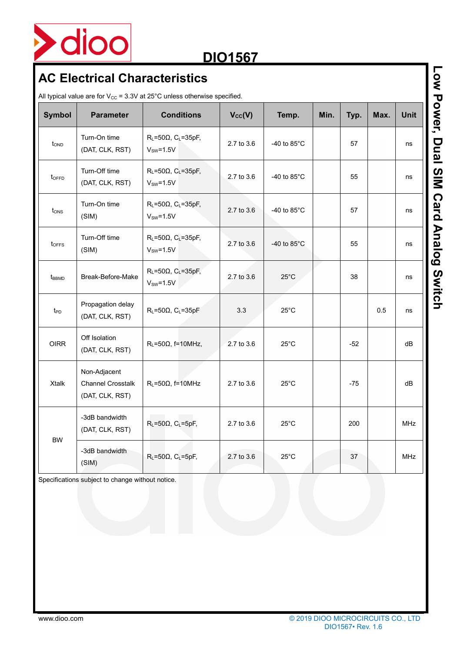

## **AC Electrical Characteristics**

All typical value are for  $V_{CC}$  = 3.3V at 25°C unless otherwise specified.

| <b>Symbol</b>     | <b>Parameter</b>                                            | <b>Conditions</b>                                           | $V_{\text{cc}}(V)$ | Temp.                 | Min. | Typ.  | Max. | <b>Unit</b> |
|-------------------|-------------------------------------------------------------|-------------------------------------------------------------|--------------------|-----------------------|------|-------|------|-------------|
| tond              | Turn-On time<br>(DAT, CLK, RST)                             | $R_L = 50\Omega$ , C <sub>L</sub> =35pF,<br>$V_{SW}=1.5V$   | 2.7 to 3.6         | -40 to $85^{\circ}$ C |      | 57    |      | ns          |
| toffp             | Turn-Off time<br>(DAT, CLK, RST)                            | $R_L = 50\Omega$ , C <sub>L</sub> =35pF,<br>$VSW=1.5V$      | 2.7 to 3.6         | -40 to $85^{\circ}$ C |      | 55    |      | ns          |
| t <sub>ons</sub>  | Turn-On time<br>(SIM)                                       | $R_L = 50\Omega$ , C <sub>L</sub> =35pF,<br>$V_{SW} = 1.5V$ | 2.7 to 3.6         | -40 to $85^{\circ}$ C |      | 57    |      | ns          |
| $t_{OFFS}$        | Turn-Off time<br>(SIM)                                      | $R_L = 50\Omega$ , C <sub>L</sub> =35pF,<br>$V_{SW} = 1.5V$ | 2.7 to 3.6         | -40 to $85^{\circ}$ C |      | 55    |      | ns          |
| t <sub>BBMD</sub> | Break-Before-Make                                           | $R_L = 50\Omega$ , C <sub>L</sub> =35pF,<br>$V_{SW} = 1.5V$ | 2.7 to 3.6         | $25^{\circ}$ C        |      | 38    |      | ns          |
| t <sub>PD</sub>   | Propagation delay<br>(DAT, CLK, RST)                        | $R_L = 50\Omega$ , C <sub>L</sub> =35pF                     | 3.3                | $25^{\circ}$ C        |      |       | 0.5  | ns          |
| <b>OIRR</b>       | Off Isolation<br>(DAT, CLK, RST)                            | $R_L = 50\Omega$ , f=10MHz,                                 | 2.7 to 3.6         | $25^{\circ}$ C        |      | $-52$ |      | dB          |
| <b>Xtalk</b>      | Non-Adjacent<br><b>Channel Crosstalk</b><br>(DAT, CLK, RST) | $R_L = 50\Omega$ , f=10MHz                                  | 2.7 to 3.6         | $25^{\circ}$ C        |      | $-75$ |      | dB          |
|                   | -3dB bandwidth<br>(DAT, CLK, RST)                           | $R_L = 50\Omega$ , C <sub>L</sub> =5pF,                     | $2.7$ to $3.6$     | $25^{\circ}$ C        |      | 200   |      | <b>MHz</b>  |
| <b>BW</b>         | -3dB bandwidth<br>(SIM)                                     | $R_L = 50\Omega$ , C <sub>L</sub> =5pF,                     | 2.7 to 3.6         | $25^{\circ}$ C        |      | 37    |      | <b>MHz</b>  |

Specifications subject to change without notice.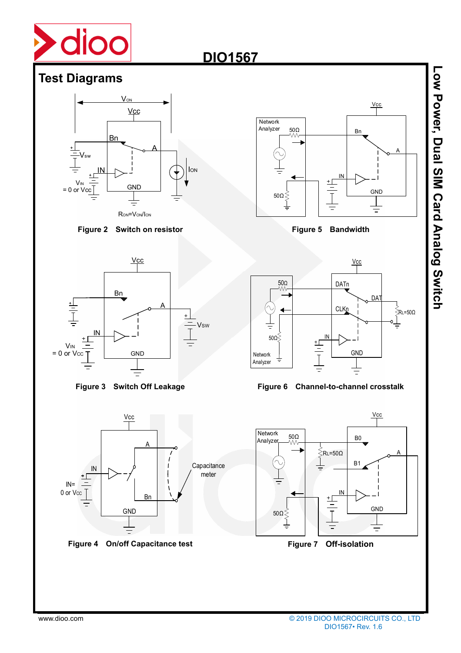

#### **Test Diagrams**



#### **Figure 2 Switch on resistor**



**Figure 3 Switch Off Leakage** 







#### **Figure 6 Channel-to-channel crosstalk**



**Low Power, Dual Sim Card Analog Switch Low Power, Dual SIM Card Analog Switch**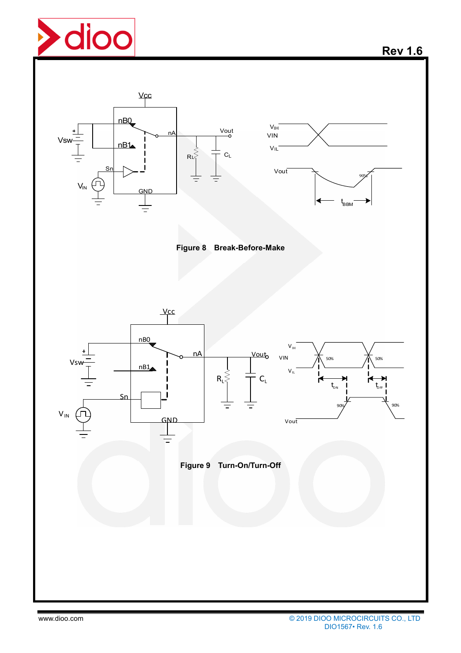